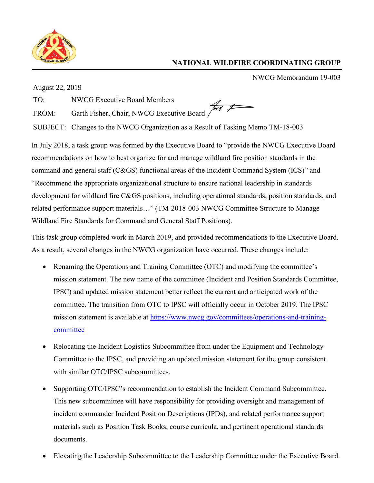

## **NATIONAL WILDFIRE COORDINATING GROUP**

NWCG Memorandum 19-003

August 22, 2019

TO: NWCG Executive Board Members

FROM: Garth Fisher, Chair, NWCG Executive Board

SUBJECT: Changes to the NWCG Organization as a Result of Tasking Memo TM-18-003

In July 2018, a task group was formed by the Executive Board to "provide the NWCG Executive Board recommendations on how to best organize for and manage wildland fire position standards in the command and general staff (C&GS) functional areas of the Incident Command System (ICS)" and "Recommend the appropriate organizational structure to ensure national leadership in standards development for wildland fire C&GS positions, including operational standards, position standards, and related performance support materials…" (TM-2018-003 NWCG Committee Structure to Manage Wildland Fire Standards for Command and General Staff Positions).

This task group completed work in March 2019, and provided recommendations to the Executive Board. As a result, several changes in the NWCG organization have occurred. These changes include:

- Renaming the Operations and Training Committee (OTC) and modifying the committee's mission statement. The new name of the committee (Incident and Position Standards Committee, IPSC) and updated mission statement better reflect the current and anticipated work of the committee. The transition from OTC to IPSC will officially occur in October 2019. The IPSC mission statement is available at [https://www.nwcg.gov/committees/operations-and-training](https://www.nwcg.gov/committees/operations-and-training-committee)[committee](https://www.nwcg.gov/committees/operations-and-training-committee)
- Relocating the Incident Logistics Subcommittee from under the Equipment and Technology Committee to the IPSC, and providing an updated mission statement for the group consistent with similar OTC/IPSC subcommittees.
- Supporting OTC/IPSC's recommendation to establish the Incident Command Subcommittee. This new subcommittee will have responsibility for providing oversight and management of incident commander Incident Position Descriptions (IPDs), and related performance support materials such as Position Task Books, course curricula, and pertinent operational standards documents.
- Elevating the Leadership Subcommittee to the Leadership Committee under the Executive Board.